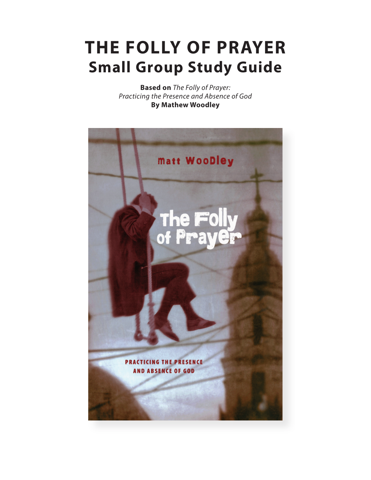# **THE FOLLY OF PRAYER Small Group Study Guide**

**Based on** *The Folly of Prayer: Practicing the Presence and Absence of God* **By Mathew Woodley**

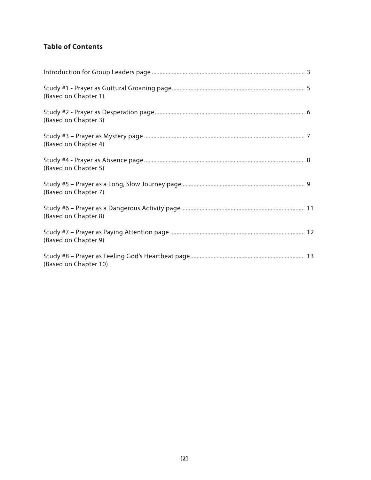# **Table of Contents**

| (Based on Chapter 1)  |  |
|-----------------------|--|
| (Based on Chapter 3)  |  |
| (Based on Chapter 4)  |  |
| (Based on Chapter 5)  |  |
| (Based on Chapter 7)  |  |
| (Based on Chapter 8)  |  |
| (Based on Chapter 9)  |  |
| (Based on Chapter 10) |  |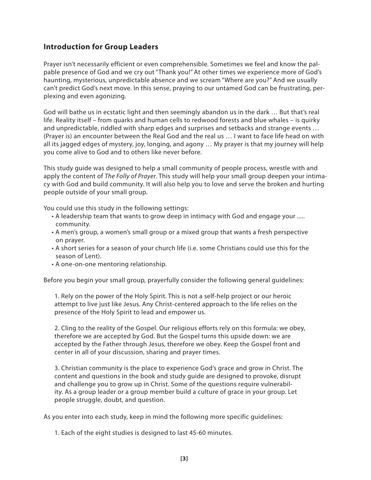# **Introduction for Group Leaders**

Prayer isn't necessarily efficient or even comprehensible. Sometimes we feel and know the palpable presence of God and we cry out "Thank you!" At other times we experience more of God's haunting, mysterious, unpredictable absence and we scream "Where are you?" And we usually can't predict God's next move. In this sense, praying to our untamed God can be frustrating, perplexing and even agonizing.

God will bathe us in ecstatic light and then seemingly abandon us in the dark … But that's real life. Reality itself – from quarks and human cells to redwood forests and blue whales – is quirky and unpredictable, riddled with sharp edges and surprises and setbacks and strange events … (Prayer is) an encounter between the Real God and the real us … I want to face life head on with all its jagged edges of mystery, joy, longing, and agony … My prayer is that my journey will help you come alive to God and to others like never before.

This study guide was designed to help a small community of people process, wrestle with and apply the content of *The Folly of Prayer*. This study will help your small group deepen your intimacy with God and build community. It will also help you to love and serve the broken and hurting people outside of your small group.

You could use this study in the following settings:

- A leadership team that wants to grow deep in intimacy with God and engage your ..... community.
- A men's group, a women's small group or a mixed group that wants a fresh perspective on prayer.
- A short series for a season of your church life (i.e. some Christians could use this for the season of Lent).
- A one-on-one mentoring relationship.

Before you begin your small group, prayerfully consider the following general guidelines:

1. Rely on the power of the Holy Spirit. This is not a self-help project or our heroic attempt to live just like Jesus. Any Christ-centered approach to the life relies on the presence of the Holy Spirit to lead and empower us.

2. Cling to the reality of the Gospel. Our religious efforts rely on this formula: we obey, therefore we are accepted by God. But the Gospel turns this upside down: we are accepted by the Father through Jesus, therefore we obey. Keep the Gospel front and center in all of your discussion, sharing and prayer times.

3. Christian community is the place to experience God's grace and grow in Christ. The content and questions in the book and study guide are designed to provoke, disrupt and challenge you to grow up in Christ. Some of the questions require vulnerability. As a group leader or a group member build a culture of grace in your group. Let people struggle, doubt, and question.

As you enter into each study, keep in mind the following more specific guidelines:

1. Each of the eight studies is designed to last 45-60 minutes.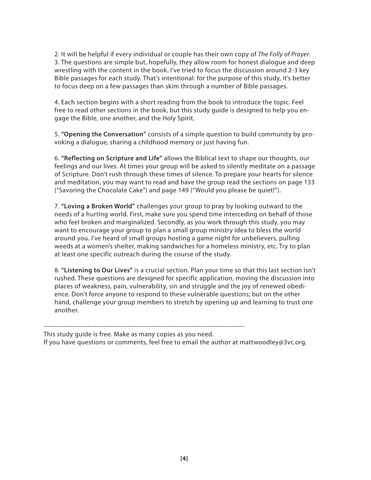2. It will be helpful if every individual or couple has their own copy of *The Folly of Prayer*. 3. The questions are simple but, hopefully, they allow room for honest dialogue and deep wrestling with the content in the book. I've tried to focus the discussion around 2-3 key Bible passages for each study. That's intentional: for the purpose of this study, it's better to focus deep on a few passages than skim through a number of Bible passages.

4. Each section begins with a short reading from the book to introduce the topic. Feel free to read other sections in the book, but this study guide is designed to help you engage the Bible, one another, and the Holy Spirit.

5. **"Opening the Conversation"** consists of a simple question to build community by provoking a dialogue, sharing a childhood memory or just having fun.

6. **"Reflecting on Scripture and Life"** allows the Biblical text to shape our thoughts, our feelings and our lives. At times your group will be asked to silently meditate on a passage of Scripture. Don't rush through these times of silence. To prepare your hearts for silence and meditation, you may want to read and have the group read the sections on page 133 ("Savoring the Chocolate Cake") and page 149 ("Would you please be quiet!").

7. **"Loving a Broken World"** challenges your group to pray by looking outward to the needs of a hurting world. First, make sure you spend time interceding on behalf of those who feel broken and marginalized. Secondly, as you work through this study, you may want to encourage your group to plan a small group ministry idea to bless the world around you. I've heard of small groups hosting a game night for unbelievers, pulling weeds at a women's shelter, making sandwiches for a homeless ministry, etc. Try to plan at least one specific outreach during the course of the study.

8. **"Listening to Our Lives"** is a crucial section. Plan your time so that this last section isn't rushed. These questions are designed for specific application, moving the discussion into places of weakness, pain, vulnerability, sin and struggle and the joy of renewed obedience. Don't force anyone to respond to these vulnerable questions; but on the other hand, challenge your group members to stretch by opening up and learning to trust one another.

-------------------------------------------------------------------------------------------

This study guide is free. Make as many copies as you need.

If you have questions or comments, feel free to email the author at mattwoodley@3vc.org.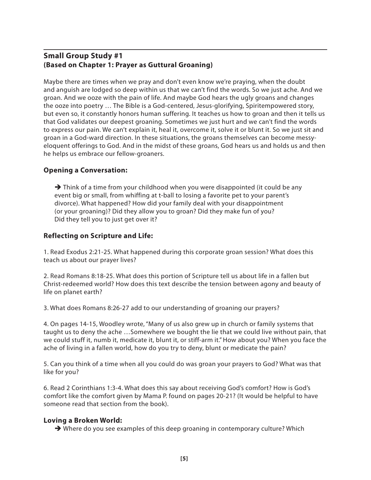# **Small Group Study #1 (Based on Chapter 1: Prayer as Guttural Groaning)**

Maybe there are times when we pray and don't even know we're praying, when the doubt and anguish are lodged so deep within us that we can't find the words. So we just ache. And we groan. And we ooze with the pain of life. And maybe God hears the ugly groans and changes the ooze into poetry … The Bible is a God-centered, Jesus-glorifying, Spiritempowered story, but even so, it constantly honors human suffering. It teaches us how to groan and then it tells us that God validates our deepest groaning. Sometimes we just hurt and we can't find the words to express our pain. We can't explain it, heal it, overcome it, solve it or blunt it. So we just sit and groan in a God-ward direction. In these situations, the groans themselves can become messyeloquent offerings to God. And in the midst of these groans, God hears us and holds us and then he helps us embrace our fellow-groaners.

# **Opening a Conversation:**

 $\rightarrow$  Think of a time from your childhood when you were disappointed (it could be any event big or small, from whiffing at t-ball to losing a favorite pet to your parent's divorce). What happened? How did your family deal with your disappointment (or your groaning)? Did they allow you to groan? Did they make fun of you? Did they tell you to just get over it?

### **Reflecting on Scripture and Life:**

1. Read Exodus 2:21-25. What happened during this corporate groan session? What does this teach us about our prayer lives?

2. Read Romans 8:18-25. What does this portion of Scripture tell us about life in a fallen but Christ-redeemed world? How does this text describe the tension between agony and beauty of life on planet earth?

3. What does Romans 8:26-27 add to our understanding of groaning our prayers?

4. On pages 14-15, Woodley wrote, "Many of us also grew up in church or family systems that taught us to deny the ache …Somewhere we bought the lie that we could live without pain, that we could stuff it, numb it, medicate it, blunt it, or stiff-arm it." How about you? When you face the ache of living in a fallen world, how do you try to deny, blunt or medicate the pain?

5. Can you think of a time when all you could do was groan your prayers to God? What was that like for you?

6. Read 2 Corinthians 1:3-4. What does this say about receiving God's comfort? How is God's comfort like the comfort given by Mama P. found on pages 20-21? (It would be helpful to have someone read that section from the book).

#### **Loving a Broken World:**

 $\rightarrow$  Where do you see examples of this deep groaning in contemporary culture? Which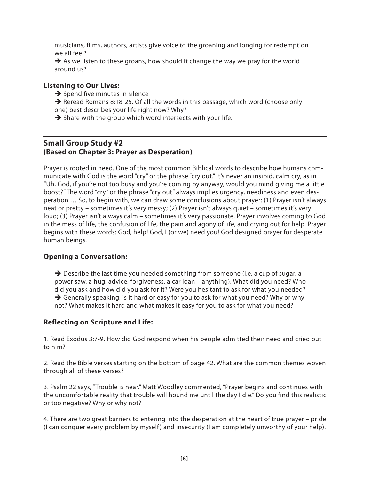musicians, films, authors, artists give voice to the groaning and longing for redemption we all feel?

 $\rightarrow$  As we listen to these groans, how should it change the way we pray for the world around us?

### **Listening to Our Lives:**

 $\rightarrow$  Spend five minutes in silence

→ Reread Romans 8:18-25. Of all the words in this passage, which word (choose only one) best describes your life right now? Why?

 $\rightarrow$  Share with the group which word intersects with your life.

# **Small Group Study #2 (Based on Chapter 3: Prayer as Desperation)**

Prayer is rooted in need. One of the most common Biblical words to describe how humans communicate with God is the word "cry" or the phrase "cry out." It's never an insipid, calm cry, as in "Uh, God, if you're not too busy and you're coming by anyway, would you mind giving me a little boost?" The word "cry" or the phrase "cry out" always implies urgency, neediness and even desperation … So, to begin with, we can draw some conclusions about prayer: (1) Prayer isn't always neat or pretty – sometimes it's very messy; (2) Prayer isn't always quiet – sometimes it's very loud; (3) Prayer isn't always calm – sometimes it's very passionate. Prayer involves coming to God in the mess of life, the confusion of life, the pain and agony of life, and crying out for help. Prayer begins with these words: God, help! God, I (or we) need you! God designed prayer for desperate human beings.

# **Opening a Conversation:**

 $\rightarrow$  Describe the last time you needed something from someone (i.e. a cup of sugar, a power saw, a hug, advice, forgiveness, a car loan – anything). What did you need? Who did you ask and how did you ask for it? Were you hesitant to ask for what you needed?  $\rightarrow$  Generally speaking, is it hard or easy for you to ask for what you need? Why or why not? What makes it hard and what makes it easy for you to ask for what you need?

# **Reflecting on Scripture and Life:**

1. Read Exodus 3:7-9. How did God respond when his people admitted their need and cried out to him?

2. Read the Bible verses starting on the bottom of page 42. What are the common themes woven through all of these verses?

3. Psalm 22 says, "Trouble is near." Matt Woodley commented, "Prayer begins and continues with the uncomfortable reality that trouble will hound me until the day I die." Do you find this realistic or too negative? Why or why not?

4. There are two great barriers to entering into the desperation at the heart of true prayer – pride (I can conquer every problem by myself ) and insecurity (I am completely unworthy of your help).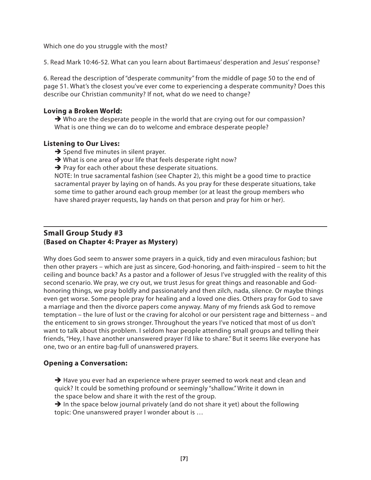Which one do you struggle with the most?

5. Read Mark 10:46-52. What can you learn about Bartimaeus' desperation and Jesus' response?

6. Reread the description of "desperate community" from the middle of page 50 to the end of page 51. What's the closest you've ever come to experiencing a desperate community? Does this describe our Christian community? If not, what do we need to change?

#### **Loving a Broken World:**

 $\rightarrow$  Who are the desperate people in the world that are crying out for our compassion? What is one thing we can do to welcome and embrace desperate people?

#### **Listening to Our Lives:**

- $\rightarrow$  Spend five minutes in silent prayer.
- → What is one area of your life that feels desperate right now?
- $\rightarrow$  Pray for each other about these desperate situations.

NOTE: In true sacramental fashion (see Chapter 2), this might be a good time to practice sacramental prayer by laying on of hands. As you pray for these desperate situations, take some time to gather around each group member (or at least the group members who have shared prayer requests, lay hands on that person and pray for him or her).

# **Small Group Study #3 (Based on Chapter 4: Prayer as Mystery)**

Why does God seem to answer some prayers in a quick, tidy and even miraculous fashion; but then other prayers – which are just as sincere, God-honoring, and faith-inspired – seem to hit the ceiling and bounce back? As a pastor and a follower of Jesus I've struggled with the reality of this second scenario. We pray, we cry out, we trust Jesus for great things and reasonable and Godhonoring things, we pray boldly and passionately and then zilch, nada, silence. Or maybe things even get worse. Some people pray for healing and a loved one dies. Others pray for God to save a marriage and then the divorce papers come anyway. Many of my friends ask God to remove temptation – the lure of lust or the craving for alcohol or our persistent rage and bitterness – and the enticement to sin grows stronger. Throughout the years I've noticed that most of us don't want to talk about this problem. I seldom hear people attending small groups and telling their friends, "Hey, I have another unanswered prayer I'd like to share." But it seems like everyone has one, two or an entire bag-full of unanswered prayers.

#### **Opening a Conversation:**

 $\rightarrow$  Have you ever had an experience where prayer seemed to work neat and clean and quick? It could be something profound or seemingly "shallow." Write it down in the space below and share it with the rest of the group.

 $\rightarrow$  In the space below journal privately (and do not share it yet) about the following topic: One unanswered prayer I wonder about is …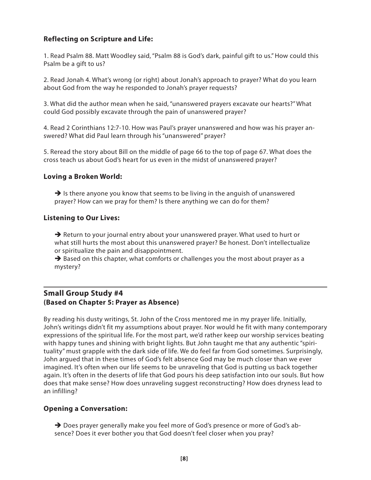# **Reflecting on Scripture and Life:**

1. Read Psalm 88. Matt Woodley said, "Psalm 88 is God's dark, painful gift to us." How could this Psalm be a gift to us?

2. Read Jonah 4. What's wrong (or right) about Jonah's approach to prayer? What do you learn about God from the way he responded to Jonah's prayer requests?

3. What did the author mean when he said, "unanswered prayers excavate our hearts?" What could God possibly excavate through the pain of unanswered prayer?

4. Read 2 Corinthians 12:7-10. How was Paul's prayer unanswered and how was his prayer answered? What did Paul learn through his "unanswered" prayer?

5. Reread the story about Bill on the middle of page 66 to the top of page 67. What does the cross teach us about God's heart for us even in the midst of unanswered prayer?

### **Loving a Broken World:**

 $\rightarrow$  Is there anyone you know that seems to be living in the anguish of unanswered prayer? How can we pray for them? Is there anything we can do for them?

#### **Listening to Our Lives:**

 $\rightarrow$  Return to your journal entry about your unanswered prayer. What used to hurt or what still hurts the most about this unanswered prayer? Be honest. Don't intellectualize or spiritualize the pain and disappointment.

 $\rightarrow$  Based on this chapter, what comforts or challenges you the most about prayer as a mystery?

# **Small Group Study #4 (Based on Chapter 5: Prayer as Absence)**

By reading his dusty writings, St. John of the Cross mentored me in my prayer life. Initially, John's writings didn't fit my assumptions about prayer. Nor would he fit with many contemporary expressions of the spiritual life. For the most part, we'd rather keep our worship services beating with happy tunes and shining with bright lights. But John taught me that any authentic "spirituality" must grapple with the dark side of life. We do feel far from God sometimes. Surprisingly, John argued that in these times of God's felt absence God may be much closer than we ever imagined. It's often when our life seems to be unraveling that God is putting us back together again. It's often in the deserts of life that God pours his deep satisfaction into our souls. But how does that make sense? How does unraveling suggest reconstructing? How does dryness lead to an infilling?

#### **Opening a Conversation:**

 $\rightarrow$  Does prayer generally make you feel more of God's presence or more of God's absence? Does it ever bother you that God doesn't feel closer when you pray?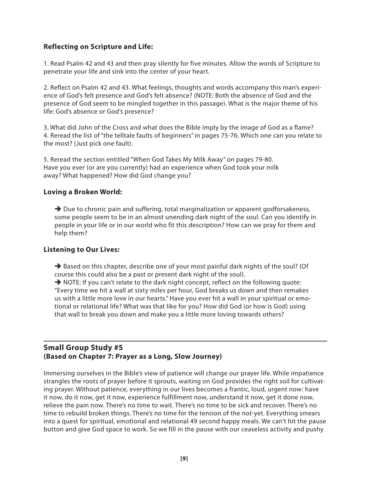# **Reflecting on Scripture and Life:**

1. Read Psalm 42 and 43 and then pray silently for five minutes. Allow the words of Scripture to penetrate your life and sink into the center of your heart.

2. Reflect on Psalm 42 and 43. What feelings, thoughts and words accompany this man's experience of God's felt presence and God's felt absence? (NOTE: Both the absence of God and the presence of God seem to be mingled together in this passage). What is the major theme of his life: God's absence or God's presence?

3. What did John of the Cross and what does the Bible imply by the image of God as a flame? 4. Reread the list of "the telltale faults of beginners" in pages 75-76. Which one can you relate to the most? (Just pick one fault).

5. Reread the section entitled "When God Takes My Milk Away" on pages 79-80. Have you ever (or are you currently) had an experience when God took your milk away? What happened? How did God change you?

### **Loving a Broken World:**

 $\rightarrow$  Due to chronic pain and suffering, total marginalization or apparent godforsakeness, some people seem to be in an almost unending dark night of the soul. Can you identify in people in your life or in our world who fit this description? How can we pray for them and help them?

#### **Listening to Our Lives:**

 $\rightarrow$  Based on this chapter, describe one of your most painful dark nights of the soul? (Of course this could also be a past or present dark night of the soul).

 $\rightarrow$  NOTE: If you can't relate to the dark night concept, reflect on the following quote: "Every time we hit a wall at sixty miles per hour, God breaks us down and then remakes us with a little more love in our hearts." Have you ever hit a wall in your spiritual or emotional or relational life? What was that like for you? How did God (or how is God) using that wall to break you down and make you a little more loving towards others?

# **Small Group Study #5 (Based on Chapter 7: Prayer as a Long, Slow Journey)**

Immersing ourselves in the Bible's view of patience will change our prayer life. While impatience strangles the roots of prayer before it sprouts, waiting on God provides the right soil for cultivating prayer. Without patience, everything in our lives becomes a frantic, loud, urgent now: have it now, do it now, get it now, experience fulfillment now, understand it now, get it done now, relieve the pain now. There's no time to wait. There's no time to be sick and recover. There's no time to rebuild broken things. There's no time for the tension of the not-yet. Everything smears into a quest for spiritual, emotional and relational 49 second happy meals. We can't hit the pause button and give God space to work. So we fill in the pause with our ceaseless activity and pushy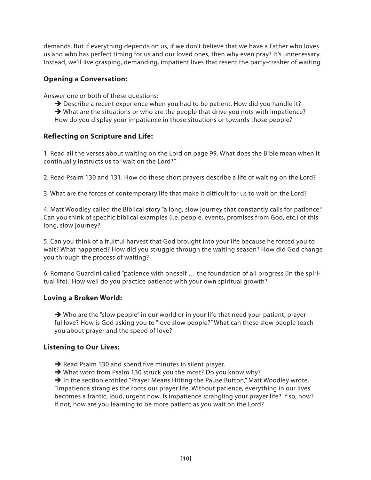demands. But if everything depends on us, if we don't believe that we have a Father who loves us and who has perfect timing for us and our loved ones, then why even pray? It's unnecessary. Instead, we'll live grasping, demanding, impatient lives that resent the party-crasher of waiting.

# **Opening a Conversation:**

Answer one or both of these questions:

- $\rightarrow$  Describe a recent experience when you had to be patient. How did you handle it?
- $\rightarrow$  What are the situations or who are the people that drive you nuts with impatience? How do you display your impatience in those situations or towards those people?

# **Reflecting on Scripture and Life:**

1. Read all the verses about waiting on the Lord on page 99. What does the Bible mean when it continually instructs us to "wait on the Lord?"

2. Read Psalm 130 and 131. How do these short prayers describe a life of waiting on the Lord?

3. What are the forces of contemporary life that make it difficult for us to wait on the Lord?

4. Matt Woodley called the Biblical story "a long, slow journey that constantly calls for patience." Can you think of specific biblical examples (i.e. people, events, promises from God, etc.) of this long, slow journey?

5. Can you think of a fruitful harvest that God brought into your life because he forced you to wait? What happened? How did you struggle through the waiting season? How did God change you through the process of waiting?

6. Romano Guardini called "patience with oneself … the foundation of all progress (in the spiritual life)." How well do you practice patience with your own spiritual growth?

# **Loving a Broken World:**

 $\rightarrow$  Who are the "slow people" in our world or in your life that need your patient, prayerful love? How is God asking you to "love slow people?" What can these slow people teach you about prayer and the speed of love?

# **Listening to Our Lives:**

- $\rightarrow$  Read Psalm 130 and spend five minutes in silent prayer.
- → What word from Psalm 130 struck you the most? Do you know why?

 $\rightarrow$  In the section entitled "Prayer Means Hitting the Pause Button," Matt Woodley wrote, "Impatience strangles the roots our prayer life. Without patience, everything in our lives becomes a frantic, loud, urgent now. Is impatience strangling your prayer life? If so, how? If not, how are you learning to be more patient as you wait on the Lord?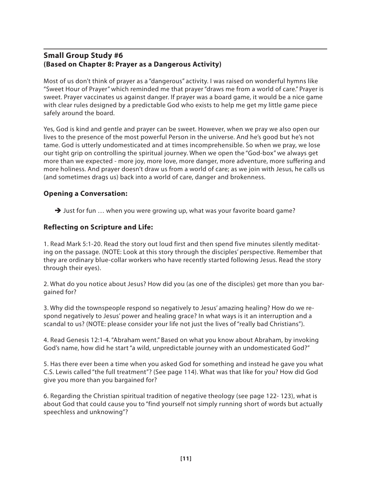# **Small Group Study #6 (Based on Chapter 8: Prayer as a Dangerous Activity)**

Most of us don't think of prayer as a "dangerous" activity. I was raised on wonderful hymns like "Sweet Hour of Prayer" which reminded me that prayer "draws me from a world of care." Prayer is sweet. Prayer vaccinates us against danger. If prayer was a board game, it would be a nice game with clear rules designed by a predictable God who exists to help me get my little game piece safely around the board.

Yes, God is kind and gentle and prayer can be sweet. However, when we pray we also open our lives to the presence of the most powerful Person in the universe. And he's good but he's not tame. God is utterly undomesticated and at times incomprehensible. So when we pray, we lose our tight grip on controlling the spiritual journey. When we open the "God-box" we always get more than we expected - more joy, more love, more danger, more adventure, more suffering and more holiness. And prayer doesn't draw us from a world of care; as we join with Jesus, he calls us (and sometimes drags us) back into a world of care, danger and brokenness.

# **Opening a Conversation:**

 $\rightarrow$  Just for fun ... when you were growing up, what was your favorite board game?

# **Reflecting on Scripture and Life:**

1. Read Mark 5:1-20. Read the story out loud first and then spend five minutes silently meditating on the passage. (NOTE: Look at this story through the disciples' perspective. Remember that they are ordinary blue-collar workers who have recently started following Jesus. Read the story through their eyes).

2. What do you notice about Jesus? How did you (as one of the disciples) get more than you bargained for?

3. Why did the townspeople respond so negatively to Jesus' amazing healing? How do we respond negatively to Jesus' power and healing grace? In what ways is it an interruption and a scandal to us? (NOTE: please consider your life not just the lives of "really bad Christians").

4. Read Genesis 12:1-4. "Abraham went." Based on what you know about Abraham, by invoking God's name, how did he start "a wild, unpredictable journey with an undomesticated God?"

5. Has there ever been a time when you asked God for something and instead he gave you what C.S. Lewis called "the full treatment"? (See page 114). What was that like for you? How did God give you more than you bargained for?

6. Regarding the Christian spiritual tradition of negative theology (see page 122- 123), what is about God that could cause you to "find yourself not simply running short of words but actually speechless and unknowing"?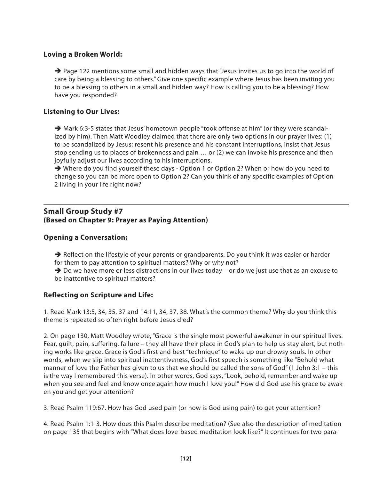## **Loving a Broken World:**

 $\rightarrow$  Page 122 mentions some small and hidden ways that "Jesus invites us to go into the world of care by being a blessing to others." Give one specific example where Jesus has been inviting you to be a blessing to others in a small and hidden way? How is calling you to be a blessing? How have you responded?

## **Listening to Our Lives:**

 $\rightarrow$  Mark 6:3-5 states that Jesus' hometown people "took offense at him" (or they were scandalized by him). Then Matt Woodley claimed that there are only two options in our prayer lives: (1) to be scandalized by Jesus; resent his presence and his constant interruptions, insist that Jesus stop sending us to places of brokenness and pain … or (2) we can invoke his presence and then joyfully adjust our lives according to his interruptions.

→ Where do you find yourself these days - Option 1 or Option 2? When or how do you need to change so you can be more open to Option 2? Can you think of any specific examples of Option 2 living in your life right now?

# **Small Group Study #7 (Based on Chapter 9: Prayer as Paying Attention)**

## **Opening a Conversation:**

 $\rightarrow$  Reflect on the lifestyle of your parents or grandparents. Do you think it was easier or harder for them to pay attention to spiritual matters? Why or why not?

 $\rightarrow$  Do we have more or less distractions in our lives today – or do we just use that as an excuse to be inattentive to spiritual matters?

# **Reflecting on Scripture and Life:**

1. Read Mark 13:5, 34, 35, 37 and 14:11, 34, 37, 38. What's the common theme? Why do you think this theme is repeated so often right before Jesus died?

2. On page 130, Matt Woodley wrote, "Grace is the single most powerful awakener in our spiritual lives. Fear, guilt, pain, suffering, failure – they all have their place in God's plan to help us stay alert, but nothing works like grace. Grace is God's first and best "technique" to wake up our drowsy souls. In other words, when we slip into spiritual inattentiveness, God's first speech is something like "Behold what manner of love the Father has given to us that we should be called the sons of God" (1 John 3:1 – this is the way I remembered this verse). In other words, God says, "Look, behold, remember and wake up when you see and feel and know once again how much I love you!" How did God use his grace to awaken you and get your attention?

3. Read Psalm 119:67. How has God used pain (or how is God using pain) to get your attention?

4. Read Psalm 1:1-3. How does this Psalm describe meditation? (See also the description of meditation on page 135 that begins with "What does love-based meditation look like?" It continues for two para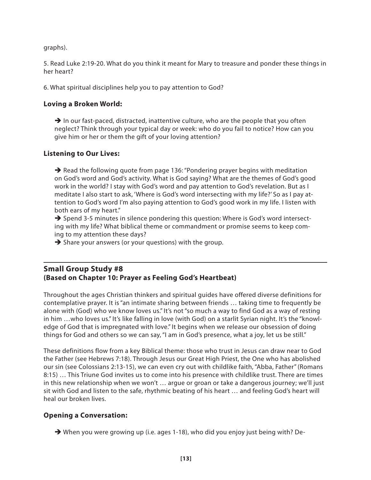graphs).

5. Read Luke 2:19-20. What do you think it meant for Mary to treasure and ponder these things in her heart?

6. What spiritual disciplines help you to pay attention to God?

### **Loving a Broken World:**

 $\rightarrow$  In our fast-paced, distracted, inattentive culture, who are the people that you often neglect? Think through your typical day or week: who do you fail to notice? How can you give him or her or them the gift of your loving attention?

### **Listening to Our Lives:**

 $\rightarrow$  Read the following quote from page 136: "Pondering prayer begins with meditation on God's word and God's activity. What is God saying? What are the themes of God's good work in the world? I stay with God's word and pay attention to God's revelation. But as I meditate I also start to ask, 'Where is God's word intersecting with my life?' So as I pay attention to God's word I'm also paying attention to God's good work in my life. I listen with both ears of my heart."

 $\rightarrow$  Spend 3-5 minutes in silence pondering this question: Where is God's word intersecting with my life? What biblical theme or commandment or promise seems to keep coming to my attention these days?

 $\rightarrow$  Share your answers (or your questions) with the group.

# **Small Group Study #8 (Based on Chapter 10: Prayer as Feeling God's Heartbeat)**

Throughout the ages Christian thinkers and spiritual guides have offered diverse definitions for contemplative prayer. It is "an intimate sharing between friends … taking time to frequently be alone with (God) who we know loves us." It's not "so much a way to find God as a way of resting in him …who loves us." It's like falling in love (with God) on a starlit Syrian night. It's the "knowledge of God that is impregnated with love." It begins when we release our obsession of doing things for God and others so we can say, "I am in God's presence, what a joy, let us be still."

These definitions flow from a key Biblical theme: those who trust in Jesus can draw near to God the Father (see Hebrews 7:18). Through Jesus our Great High Priest, the One who has abolished our sin (see Colossians 2:13-15), we can even cry out with childlike faith, "Abba, Father" (Romans 8:15) … This Triune God invites us to come into his presence with childlike trust. There are times in this new relationship when we won't … argue or groan or take a dangerous journey; we'll just sit with God and listen to the safe, rhythmic beating of his heart … and feeling God's heart will heal our broken lives.

# **Opening a Conversation:**

 $\rightarrow$  When you were growing up (i.e. ages 1-18), who did you enjoy just being with? De-